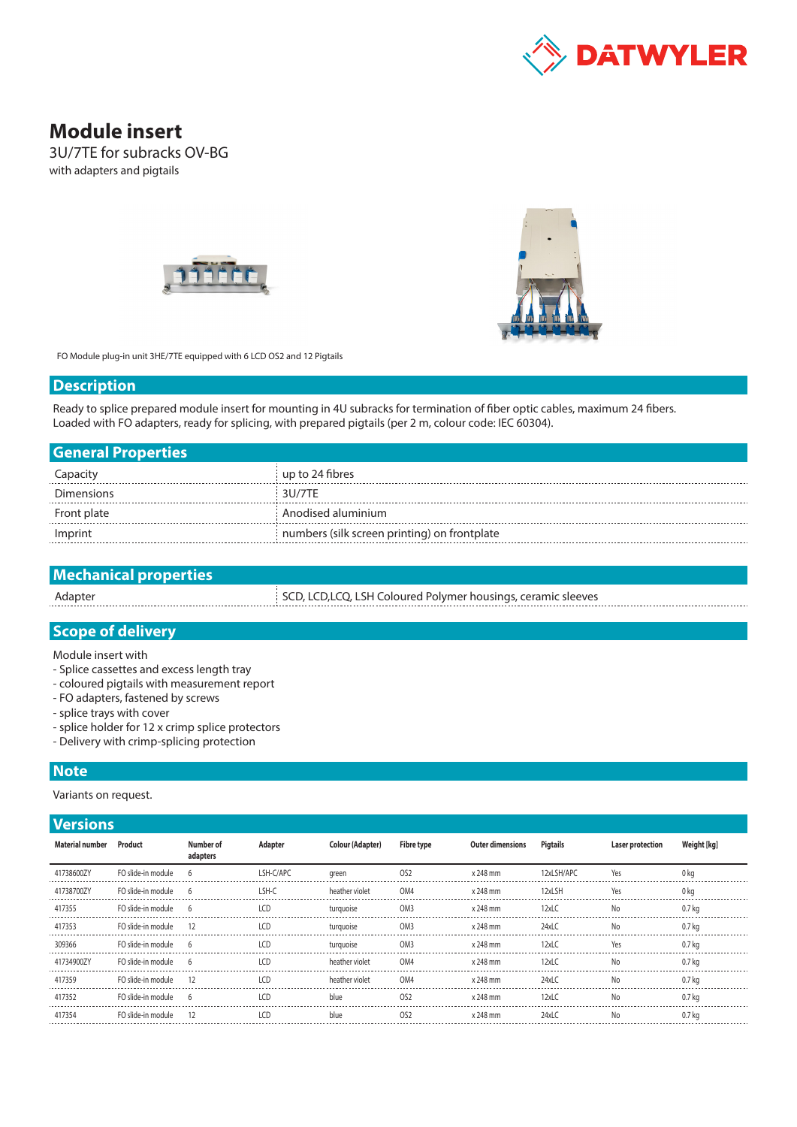

# **Module insert**

3U/7TE for subracks OV-BG with adapters and pigtails





FO Module plug-in unit 3HE/7TE equipped with 6 LCD OS2 and 12 Pigtails

#### **Description**

Ready to splice prepared module insert for mounting in 4U subracks for termination of fiber optic cables, maximum 24 fibers. Loaded with FO adapters, ready for splicing, with prepared pigtails (per 2 m, colour code: IEC 60304).

| <b>General Properties</b> |                                              |
|---------------------------|----------------------------------------------|
| Capacity                  | up to 24 fibres                              |
| <b>Dimensions</b>         | 3U/7TF                                       |
| Front plate               | Anodised aluminium                           |
| Imprint                   | numbers (silk screen printing) on frontplate |

| <b>Mechanical properties</b> |                                                               |
|------------------------------|---------------------------------------------------------------|
| Adapter                      | SCD, LCD, LCQ, LSH Coloured Polymer housings, ceramic sleeves |
|                              |                                                               |

# **Scope of delivery**

Module insert with

- Splice cassettes and excess length tray
- coloured pigtails with measurement report
- FO adapters, fastened by screws
- splice trays with cover
- splice holder for 12 x crimp splice protectors
- Delivery with crimp-splicing protection

## **Note**

Variants on request.

### **Versions**

| <b>Material number</b> | Product              | Number of<br>adapters | Adapter    | Colour (Adapter) | Fibre type      | <b>Outer dimensions</b> | Pigtails   | Laser protection | Weight [kg] |
|------------------------|----------------------|-----------------------|------------|------------------|-----------------|-------------------------|------------|------------------|-------------|
| 41738600ZY             | FO slide-in module 6 |                       | LSH-C/APC  | green            | OS <sub>2</sub> | x 248 mm                | 12xLSH/APC | Yes              | 0 ka        |
| 41738700ZY             | FO slide-in module   |                       | I SH-C     | heather violet   | OM4             | x 248 mm                | 12xLSH     | Yes              | 0 ka        |
| 417355                 | FO slide-in module 6 |                       | LCD        | turguoise        | OM <sub>3</sub> | x 248 mm                | $12x$ LC   | No               | 0.7 kg      |
| 417353                 | FO slide-in module   |                       | ICD        | turguoise        | OM <sub>3</sub> | x 248 mm                | 24xLC      | No               | 0.7 ka      |
| 309366                 | FO slide-in module   | -6                    | LCD        | turquoise        | OM <sub>3</sub> | x 248 mm                | 12xLC      | Yes              | 0.7 kg      |
| 41734900ZY             | FO slide-in module   |                       | 1CD        | heather violet   | OM4             | x 248 mm                | 12xLC      | No               | 0.7 ka      |
| 417359                 | FO slide-in module   | -12                   | $\sqrt{2}$ | heather violet   | OM4             | x 248 mm                | $24x$ LC   | No               | 0.7 kg      |
| 417352                 | FO slide-in module   |                       | 1CD        | blue             | OS <sub>2</sub> | x 248 mm                | 12xC       | No               | 0.7 kg      |
| 417354                 | FO slide-in module   |                       | LCD        | blue             | OS <sub>2</sub> | x 248 mm                | 24xLC      | No               | 0.7 kg      |